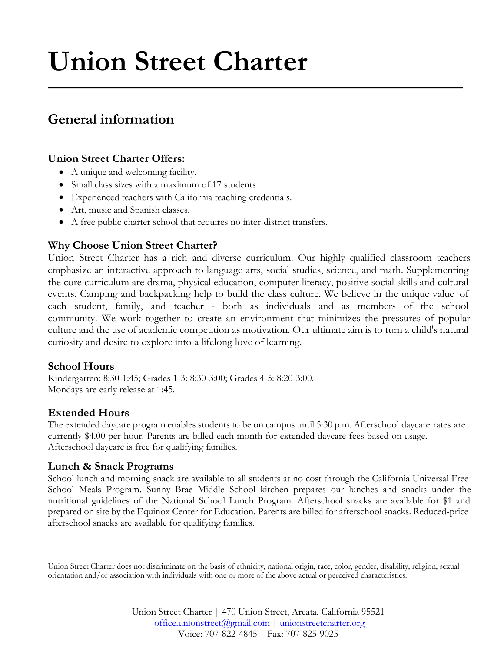# **Union Street Charter**

# **General information**

## **Union Street Charter Offers:**

- A unique and welcoming facility.
- Small class sizes with a maximum of 17 students.
- Experienced teachers with California teaching credentials.
- Art, music and Spanish classes.
- A free public charter school that requires no inter-district transfers.

## **Why Choose Union Street Charter?**

Union Street Charter has a rich and diverse curriculum. Our highly qualified classroom teachers emphasize an interactive approach to language arts, social studies, science, and math. Supplementing the core curriculum are drama, physical education, computer literacy, positive social skills and cultural events. Camping and backpacking help to build the class culture. We believe in the unique value of each student, family, and teacher - both as individuals and as members of the school community. We work together to create an environment that minimizes the pressures of popular culture and the use of academic competition as motivation. Our ultimate aim is to turn a child's natural curiosity and desire to explore into a lifelong love of learning.

### **School Hours**

Kindergarten: 8:30-1:45; Grades 1-3: 8:30-3:00; Grades 4-5: 8:20-3:00. Mondays are early release at 1:45.

## **Extended Hours**

The extended daycare program enables students to be on campus until 5:30 p.m. Afterschool daycare rates are currently \$4.00 per hour. Parents are billed each month for extended daycare fees based on usage. Afterschool daycare is free for qualifying families.

## **Lunch & Snack Programs**

School lunch and morning snack are available to all students at no cost through the California Universal Free School Meals Program. Sunny Brae Middle School kitchen prepares our lunches and snacks under the nutritional guidelines of the National School Lunch Program. Afterschool snacks are available for \$1 and prepared on site by the Equinox Center for Education. Parents are billed for afterschool snacks. Reduced-price afterschool snacks are available for qualifying families.

Union Street Charter does not discriminate on the basis of ethnicity, national origin, race, color, gender, disability, religion, sexual orientation and/or association with individuals with one or more of the above actual or perceived characteristics.

> Union Street Charter | 470 Union Street, Arcata, California 95521 office.unionstreet@gmail.com | unionstreetcharter.org Voice: 707-822-4845 | Fax: 707-825-9025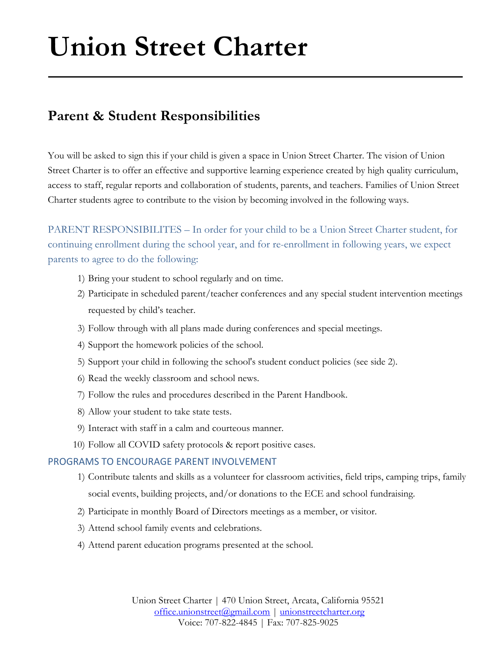# **Union Street Charter**

# **Parent & Student Responsibilities**

You will be asked to sign this if your child is given a space in Union Street Charter. The vision of Union Street Charter is to offer an effective and supportive learning experience created by high quality curriculum, access to staff, regular reports and collaboration of students, parents, and teachers. Families of Union Street Charter students agree to contribute to the vision by becoming involved in the following ways.

PARENT RESPONSIBILITES – In order for your child to be a Union Street Charter student, for continuing enrollment during the school year, and for re-enrollment in following years, we expect parents to agree to do the following:

- 1) Bring your student to school regularly and on time.
- 2) Participate in scheduled parent/teacher conferences and any special student intervention meetings requested by child's teacher.
- 3) Follow through with all plans made during conferences and special meetings.
- 4) Support the homework policies of the school.
- 5) Support your child in following the school's student conduct policies (see side 2).
- 6) Read the weekly classroom and school news.
- 7) Follow the rules and procedures described in the Parent Handbook.
- 8) Allow your student to take state tests.
- 9) Interact with staff in a calm and courteous manner.
- 10) Follow all COVID safety protocols & report positive cases.

#### PROGRAMS TO ENCOURAGE PARENT INVOLVEMENT

- 1) Contribute talents and skills as a volunteer for classroom activities, field trips, camping trips, family social events, building projects, and/or donations to the ECE and school fundraising.
- 2) Participate in monthly Board of Directors meetings as a member, or visitor.
- 3) Attend school family events and celebrations.
- 4) Attend parent education programs presented at the school.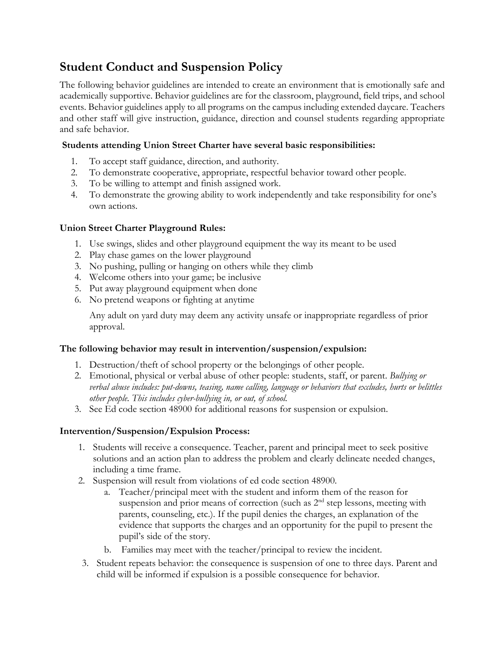## **Student Conduct and Suspension Policy**

The following behavior guidelines are intended to create an environment that is emotionally safe and academically supportive. Behavior guidelines are for the classroom, playground, field trips, and school events. Behavior guidelines apply to all programs on the campus including extended daycare. Teachers and other staff will give instruction, guidance, direction and counsel students regarding appropriate and safe behavior.

#### **Students attending Union Street Charter have several basic responsibilities:**

- 1. To accept staff guidance, direction, and authority.
- 2. To demonstrate cooperative, appropriate, respectful behavior toward other people.
- 3. To be willing to attempt and finish assigned work.
- 4. To demonstrate the growing ability to work independently and take responsibility for one's own actions.

#### **Union Street Charter Playground Rules:**

- 1. Use swings, slides and other playground equipment the way its meant to be used
- 2. Play chase games on the lower playground
- 3. No pushing, pulling or hanging on others while they climb
- 4. Welcome others into your game; be inclusive
- 5. Put away playground equipment when done
- 6. No pretend weapons or fighting at anytime

Any adult on yard duty may deem any activity unsafe or inappropriate regardless of prior approval.

#### **The following behavior may result in intervention/suspension/expulsion:**

- 1. Destruction/theft of school property or the belongings of other people.
- 2. Emotional, physical or verbal abuse of other people: students, staff, or parent. *Bullying or verbal abuse includes: put-downs, teasing, name calling, language or behaviors that excludes, hurts or belittles other people. This includes cyber-bullying in, or out, of school.*
- 3. See Ed code section 48900 for additional reasons for suspension or expulsion.

### **Intervention/Suspension/Expulsion Process:**

- 1. Students will receive a consequence. Teacher, parent and principal meet to seek positive solutions and an action plan to address the problem and clearly delineate needed changes, including a time frame.
- 2. Suspension will result from violations of ed code section 48900.
	- a. Teacher/principal meet with the student and inform them of the reason for suspension and prior means of correction (such as 2<sup>nd</sup> step lessons, meeting with parents, counseling, etc.). If the pupil denies the charges, an explanation of the evidence that supports the charges and an opportunity for the pupil to present the pupil's side of the story.
	- b. Families may meet with the teacher/principal to review the incident.
- 3. Student repeats behavior: the consequence is suspension of one to three days. Parent and child will be informed if expulsion is a possible consequence for behavior.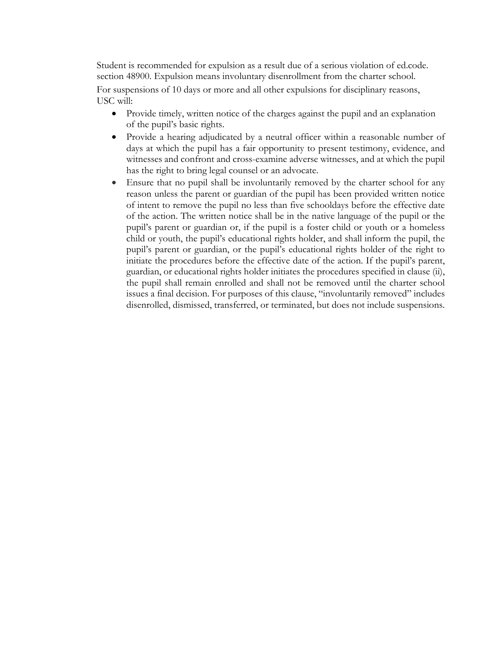Student is recommended for expulsion as a result due of a serious violation of ed.code. section 48900. Expulsion means involuntary disenrollment from the charter school.

For suspensions of 10 days or more and all other expulsions for disciplinary reasons, USC will:

- Provide timely, written notice of the charges against the pupil and an explanation of the pupil's basic rights.
- Provide a hearing adjudicated by a neutral officer within a reasonable number of days at which the pupil has a fair opportunity to present testimony, evidence, and witnesses and confront and cross-examine adverse witnesses, and at which the pupil has the right to bring legal counsel or an advocate.
- Ensure that no pupil shall be involuntarily removed by the charter school for any reason unless the parent or guardian of the pupil has been provided written notice of intent to remove the pupil no less than five schooldays before the effective date of the action. The written notice shall be in the native language of the pupil or the pupil's parent or guardian or, if the pupil is a foster child or youth or a homeless child or youth, the pupil's educational rights holder, and shall inform the pupil, the pupil's parent or guardian, or the pupil's educational rights holder of the right to initiate the procedures before the effective date of the action. If the pupil's parent, guardian, or educational rights holder initiates the procedures specified in clause (ii), the pupil shall remain enrolled and shall not be removed until the charter school issues a final decision. For purposes of this clause, "involuntarily removed" includes disenrolled, dismissed, transferred, or terminated, but does not include suspensions.